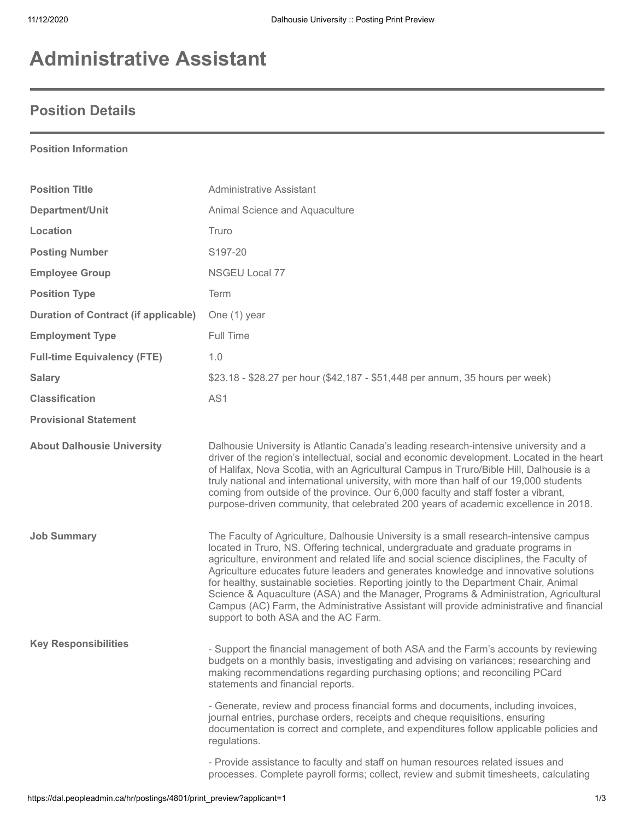# **Administrative Assistant**

## **Position Details**

#### **Position Information**

| <b>Position Title</b>                       | <b>Administrative Assistant</b>                                                                                                                                                                                                                                                                                                                                                                                                                                                                                                                                                                                                                                                    |
|---------------------------------------------|------------------------------------------------------------------------------------------------------------------------------------------------------------------------------------------------------------------------------------------------------------------------------------------------------------------------------------------------------------------------------------------------------------------------------------------------------------------------------------------------------------------------------------------------------------------------------------------------------------------------------------------------------------------------------------|
| Department/Unit                             | Animal Science and Aquaculture                                                                                                                                                                                                                                                                                                                                                                                                                                                                                                                                                                                                                                                     |
| Location                                    | Truro                                                                                                                                                                                                                                                                                                                                                                                                                                                                                                                                                                                                                                                                              |
| <b>Posting Number</b>                       | S197-20                                                                                                                                                                                                                                                                                                                                                                                                                                                                                                                                                                                                                                                                            |
| <b>Employee Group</b>                       | NSGEU Local 77                                                                                                                                                                                                                                                                                                                                                                                                                                                                                                                                                                                                                                                                     |
| <b>Position Type</b>                        | Term                                                                                                                                                                                                                                                                                                                                                                                                                                                                                                                                                                                                                                                                               |
| <b>Duration of Contract (if applicable)</b> | One (1) year                                                                                                                                                                                                                                                                                                                                                                                                                                                                                                                                                                                                                                                                       |
| <b>Employment Type</b>                      | Full Time                                                                                                                                                                                                                                                                                                                                                                                                                                                                                                                                                                                                                                                                          |
| <b>Full-time Equivalency (FTE)</b>          | 1.0                                                                                                                                                                                                                                                                                                                                                                                                                                                                                                                                                                                                                                                                                |
| <b>Salary</b>                               | \$23.18 - \$28.27 per hour (\$42,187 - \$51,448 per annum, 35 hours per week)                                                                                                                                                                                                                                                                                                                                                                                                                                                                                                                                                                                                      |
| <b>Classification</b>                       | AS1                                                                                                                                                                                                                                                                                                                                                                                                                                                                                                                                                                                                                                                                                |
| <b>Provisional Statement</b>                |                                                                                                                                                                                                                                                                                                                                                                                                                                                                                                                                                                                                                                                                                    |
| <b>About Dalhousie University</b>           | Dalhousie University is Atlantic Canada's leading research-intensive university and a<br>driver of the region's intellectual, social and economic development. Located in the heart<br>of Halifax, Nova Scotia, with an Agricultural Campus in Truro/Bible Hill, Dalhousie is a<br>truly national and international university, with more than half of our 19,000 students<br>coming from outside of the province. Our 6,000 faculty and staff foster a vibrant,<br>purpose-driven community, that celebrated 200 years of academic excellence in 2018.                                                                                                                            |
| <b>Job Summary</b>                          | The Faculty of Agriculture, Dalhousie University is a small research-intensive campus<br>located in Truro, NS. Offering technical, undergraduate and graduate programs in<br>agriculture, environment and related life and social science disciplines, the Faculty of<br>Agriculture educates future leaders and generates knowledge and innovative solutions<br>for healthy, sustainable societies. Reporting jointly to the Department Chair, Animal<br>Science & Aquaculture (ASA) and the Manager, Programs & Administration, Agricultural<br>Campus (AC) Farm, the Administrative Assistant will provide administrative and financial<br>support to both ASA and the AC Farm. |
| <b>Key Responsibilities</b>                 | - Support the financial management of both ASA and the Farm's accounts by reviewing<br>budgets on a monthly basis, investigating and advising on variances; researching and<br>making recommendations regarding purchasing options; and reconciling PCard<br>statements and financial reports.                                                                                                                                                                                                                                                                                                                                                                                     |
|                                             | - Generate, review and process financial forms and documents, including invoices,<br>journal entries, purchase orders, receipts and cheque requisitions, ensuring<br>documentation is correct and complete, and expenditures follow applicable policies and<br>regulations.                                                                                                                                                                                                                                                                                                                                                                                                        |
|                                             | - Provide assistance to faculty and staff on human resources related issues and<br>processes. Complete payroll forms; collect, review and submit timesheets, calculating                                                                                                                                                                                                                                                                                                                                                                                                                                                                                                           |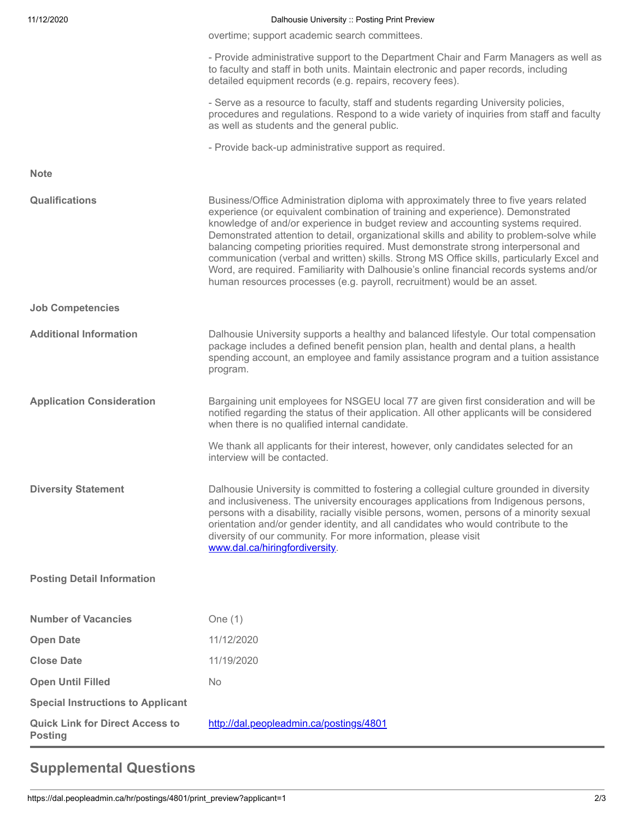| 11/12/2020                                               | Dalhousie University :: Posting Print Preview                                                                                                                                                                                                                                                                                                                                                                                                                                                                                                                                                                                                                                                                          |
|----------------------------------------------------------|------------------------------------------------------------------------------------------------------------------------------------------------------------------------------------------------------------------------------------------------------------------------------------------------------------------------------------------------------------------------------------------------------------------------------------------------------------------------------------------------------------------------------------------------------------------------------------------------------------------------------------------------------------------------------------------------------------------------|
|                                                          | overtime; support academic search committees.                                                                                                                                                                                                                                                                                                                                                                                                                                                                                                                                                                                                                                                                          |
|                                                          | - Provide administrative support to the Department Chair and Farm Managers as well as<br>to faculty and staff in both units. Maintain electronic and paper records, including<br>detailed equipment records (e.g. repairs, recovery fees).                                                                                                                                                                                                                                                                                                                                                                                                                                                                             |
|                                                          | - Serve as a resource to faculty, staff and students regarding University policies,<br>procedures and regulations. Respond to a wide variety of inquiries from staff and faculty<br>as well as students and the general public.                                                                                                                                                                                                                                                                                                                                                                                                                                                                                        |
|                                                          | - Provide back-up administrative support as required.                                                                                                                                                                                                                                                                                                                                                                                                                                                                                                                                                                                                                                                                  |
| <b>Note</b>                                              |                                                                                                                                                                                                                                                                                                                                                                                                                                                                                                                                                                                                                                                                                                                        |
| <b>Qualifications</b>                                    | Business/Office Administration diploma with approximately three to five years related<br>experience (or equivalent combination of training and experience). Demonstrated<br>knowledge of and/or experience in budget review and accounting systems required.<br>Demonstrated attention to detail, organizational skills and ability to problem-solve while<br>balancing competing priorities required. Must demonstrate strong interpersonal and<br>communication (verbal and written) skills. Strong MS Office skills, particularly Excel and<br>Word, are required. Familiarity with Dalhousie's online financial records systems and/or<br>human resources processes (e.g. payroll, recruitment) would be an asset. |
| <b>Job Competencies</b>                                  |                                                                                                                                                                                                                                                                                                                                                                                                                                                                                                                                                                                                                                                                                                                        |
| <b>Additional Information</b>                            | Dalhousie University supports a healthy and balanced lifestyle. Our total compensation<br>package includes a defined benefit pension plan, health and dental plans, a health<br>spending account, an employee and family assistance program and a tuition assistance<br>program.                                                                                                                                                                                                                                                                                                                                                                                                                                       |
| <b>Application Consideration</b>                         | Bargaining unit employees for NSGEU local 77 are given first consideration and will be<br>notified regarding the status of their application. All other applicants will be considered<br>when there is no qualified internal candidate.                                                                                                                                                                                                                                                                                                                                                                                                                                                                                |
|                                                          | We thank all applicants for their interest, however, only candidates selected for an<br>interview will be contacted.                                                                                                                                                                                                                                                                                                                                                                                                                                                                                                                                                                                                   |
| <b>Diversity Statement</b>                               | Dalhousie University is committed to fostering a collegial culture grounded in diversity<br>and inclusiveness. The university encourages applications from Indigenous persons,<br>persons with a disability, racially visible persons, women, persons of a minority sexual<br>orientation and/or gender identity, and all candidates who would contribute to the<br>diversity of our community. For more information, please visit<br>www.dal.ca/hiringfordiversity.                                                                                                                                                                                                                                                   |
| <b>Posting Detail Information</b>                        |                                                                                                                                                                                                                                                                                                                                                                                                                                                                                                                                                                                                                                                                                                                        |
| <b>Number of Vacancies</b>                               | One $(1)$                                                                                                                                                                                                                                                                                                                                                                                                                                                                                                                                                                                                                                                                                                              |
| <b>Open Date</b>                                         | 11/12/2020                                                                                                                                                                                                                                                                                                                                                                                                                                                                                                                                                                                                                                                                                                             |
| <b>Close Date</b>                                        | 11/19/2020                                                                                                                                                                                                                                                                                                                                                                                                                                                                                                                                                                                                                                                                                                             |
| <b>Open Until Filled</b>                                 | <b>No</b>                                                                                                                                                                                                                                                                                                                                                                                                                                                                                                                                                                                                                                                                                                              |
| <b>Special Instructions to Applicant</b>                 |                                                                                                                                                                                                                                                                                                                                                                                                                                                                                                                                                                                                                                                                                                                        |
| <b>Quick Link for Direct Access to</b><br><b>Posting</b> | http://dal.peopleadmin.ca/postings/4801                                                                                                                                                                                                                                                                                                                                                                                                                                                                                                                                                                                                                                                                                |

## **Supplemental Questions**